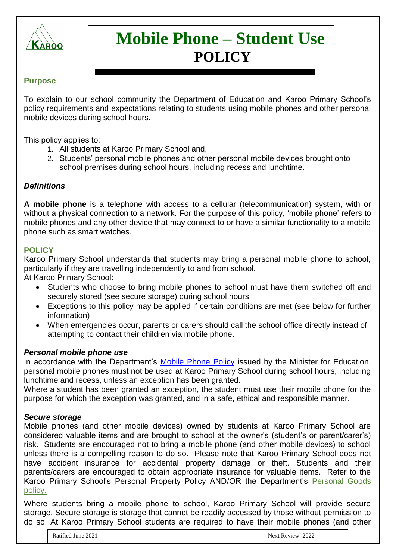

# **Mobile Phone – Student Use POLICY**

### **Purpose**

To explain to our school community the Department of Education and Karoo Primary School's policy requirements and expectations relating to students using mobile phones and other personal mobile devices during school hours.

This policy applies to:

- 1. All students at Karoo Primary School and,
- 2. Students' personal mobile phones and other personal mobile devices brought onto school premises during school hours, including recess and lunchtime.

#### *Definitions*

**A mobile phone** is a telephone with access to a cellular (telecommunication) system, with or without a physical connection to a network. For the purpose of this policy, 'mobile phone' refers to mobile phones and any other device that may connect to or have a similar functionality to a mobile phone such as smart watches.

#### **POLICY**

Karoo Primary School understands that students may bring a personal mobile phone to school, particularly if they are travelling independently to and from school.

At Karoo Primary School:

- Students who choose to bring mobile phones to school must have them switched off and securely stored (see secure storage) during school hours
- Exceptions to this policy may be applied if certain conditions are met (see below for further information)
- When emergencies occur, parents or carers should call the school office directly instead of attempting to contact their children via mobile phone.

#### *Personal mobile phone use*

In accordance with the Department's [Mobile Phone](https://www2.education.vic.gov.au/pal/students-using-mobile-phones/policy) Policy issued by the Minister for Education, personal mobile phones must not be used at Karoo Primary School during school hours, including lunchtime and recess, unless an exception has been granted.

Where a student has been granted an exception, the student must use their mobile phone for the purpose for which the exception was granted, and in a safe, ethical and responsible manner.

#### *Secure storage*

Mobile phones (and other mobile devices) owned by students at Karoo Primary School are considered valuable items and are brought to school at the owner's (student's or parent/carer's) risk. Students are encouraged not to bring a mobile phone (and other mobile devices) to school unless there is a compelling reason to do so. Please note that Karoo Primary School does not have accident insurance for accidental property damage or theft. Students and their parents/carers are encouraged to obtain appropriate insurance for valuable items. Refer to the Karoo Primary School's Personal Property Policy AND/OR the Department's [Personal Goods](https://www.education.vic.gov.au/school/principals/spag/governance/pages/personalgoods.aspx) policy.

Where students bring a mobile phone to school, Karoo Primary School will provide secure storage. Secure storage is storage that cannot be readily accessed by those without permission to do so. At Karoo Primary School students are required to have their mobile phones (and other

<u>references</u>: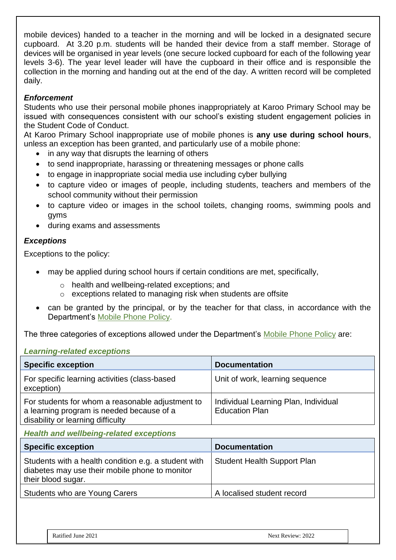mobile devices) handed to a teacher in the morning and will be locked in a designated secure cupboard. At 3.20 p.m. students will be handed their device from a staff member. Storage of devices will be organised in year levels (one secure locked cupboard for each of the following year levels 3-6). The year level leader will have the cupboard in their office and is responsible the collection in the morning and handing out at the end of the day. A written record will be completed daily.

## *Enforcement*

Students who use their personal mobile phones inappropriately at Karoo Primary School may be issued with consequences consistent with our school's existing student engagement policies in the Student Code of Conduct.

At Karoo Primary School inappropriate use of mobile phones is **any use during school hours**, unless an exception has been granted, and particularly use of a mobile phone:

- in any way that disrupts the learning of others
- to send inappropriate, harassing or threatening messages or phone calls
- to engage in inappropriate social media use including cyber bullying
- to capture video or images of people, including students, teachers and members of the school community without their permission
- to capture video or images in the school toilets, changing rooms, swimming pools and gyms
- during exams and assessments

# *Exceptions*

Exceptions to the policy:

- may be applied during school hours if certain conditions are met, specifically,
	- o health and wellbeing-related exceptions; and
	- o exceptions related to managing risk when students are offsite
- can be granted by the principal, or by the teacher for that class, in accordance with the Department's [Mobile Phone](https://www.education.vic.gov.au/school/principals/spag/safety/Pages/mobilephones.aspx) Policy.

The three categories of exceptions allowed under the Department's [Mobile Phone Policy](https://www.education.vic.gov.au/school/principals/spag/safety/Pages/mobilephones.aspx) are:

### *Learning-related exceptions*

| <b>Specific exception</b>                                                                                                          | <b>Documentation</b>                                          |
|------------------------------------------------------------------------------------------------------------------------------------|---------------------------------------------------------------|
| For specific learning activities (class-based<br>exception)                                                                        | Unit of work, learning sequence                               |
| For students for whom a reasonable adjustment to<br>a learning program is needed because of a<br>disability or learning difficulty | Individual Learning Plan, Individual<br><b>Education Plan</b> |

### *Health and wellbeing-related exceptions*

| <b>Specific exception</b>                                                                                                    | <b>Documentation</b>               |
|------------------------------------------------------------------------------------------------------------------------------|------------------------------------|
| Students with a health condition e.g. a student with<br>diabetes may use their mobile phone to monitor<br>their blood sugar. | <b>Student Health Support Plan</b> |
| Students who are Young Carers                                                                                                | A localised student record         |